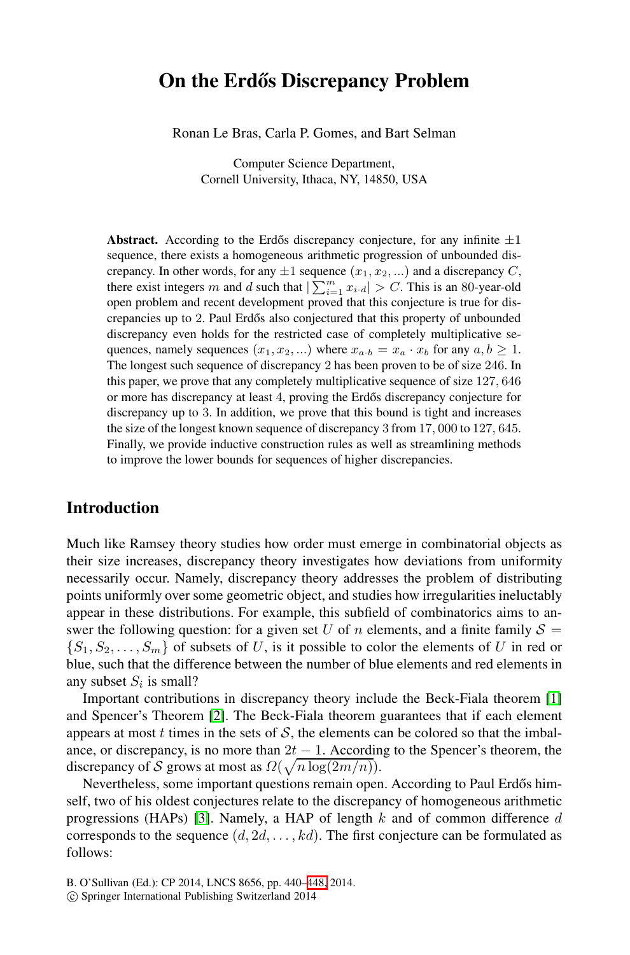# **On the Erdős Discrepancy Problem**

Ronan Le Bras, Carla P. Gomes, and Bart Selman

Computer Science Department, Cornell University, Ithaca, NY, 14850, USA

**Abstract.** According to the Erdős discrepancy conjecture, for any infinite  $\pm 1$ sequence, there exists a homogeneous arithmetic progression of unbounded discrepancy. In other words, for any  $\pm 1$  sequence  $(x_1, x_2, ...)$  and a discrepancy C, there exist integers m and d such that  $\sum_{i=1}^{m} x_{i} \cdot d$  > C. This is an 80-year-old open problem and recent development proved that this conjecture is true for discrepancies up to 2. Paul Erd˝os also conjectured that this property of unbounded discrepancy even holds for the restricted case of completely multiplicative sequences, namely sequences  $(x_1, x_2, ...)$  where  $x_{a \cdot b} = x_a \cdot x_b$  for any  $a, b \ge 1$ . The longest such sequence of discrepancy 2 has been proven to be of size 246. In this paper, we prove that any completely multiplicative sequence of size 127, 646 or more has discrepancy at least 4, proving the Erdős discrepancy conjecture for discrepancy up to 3. In addition, we prove that this bound is tight and increases the size of the longest known sequence of discrepancy 3 from 17, 000 to 127, 645. Finally, we provide inductive construction rules as well as streamlining methods to improve the lower bounds for sequences of higher discrepancies.

### **Introduction**

<span id="page-0-0"></span>Much like Ramsey theory studies how order must emerge in combinatorial objects as their size increases, discrepancy theory investigates how devia[tio](#page-8-0)ns from uniformity neces[sar](#page-8-1)ily occur. Namely, discrepancy theory addresses the problem of distributing points uniformly over some geometric object, and studies how irregularities ineluctably appear in these distributions. For example, this subfield of combinatorics aims to answer the following question: for a given set U of n elements, and a finite family  $S =$  $\{S_1, S_2, \ldots, S_m\}$  of subsets of U, is it possible to color the elements of U in red or blue, such that the difference between the number of blue elements and red elements in an[y s](#page-8-2)ubset  $S_i$  is small?

Important contributions in discrepancy theory include the Beck-Fiala theorem [1] and Spencer's Theorem [2]. The Beck-Fiala theorem guarantees that if each element appears at most  $t$  times in the sets of  $S$ , the elements can be colored so that the imbalance, or discrepancy, i[s no](#page-8-3) more than  $2t - 1$ . According to the Spencer's theorem, the discrepancy of S grows at most as  $\Omega(\sqrt{n \log(2m/n)})$ .

Nevertheless, some important questions remain open. According to Paul Erdős himself, two of his oldest conjectures relate to the discrepancy of homogeneous arithmetic progressions (HAPs) [3]. Namely, a HAP of length  $k$  and of common difference  $d$ corresponds to the sequence  $(d, 2d, \ldots, kd)$ . The first conjecture can be formulated as follows:

-c Springer International Publishing Switzerland 2014

B. O'Sullivan (Ed.): CP 2014, LNCS 8656, pp. 440–448, 2014.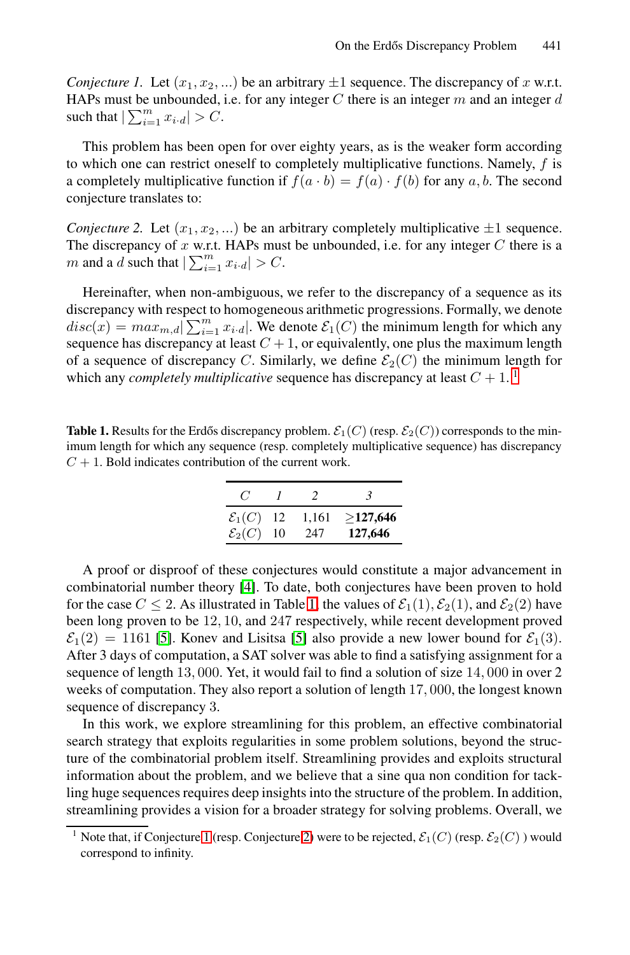<span id="page-1-2"></span>*Conjecture 1.* Let  $(x_1, x_2, ...)$  be an arbitrary  $\pm 1$  sequence. The discrepancy of x w.r.t. HAPs must be unbounded, i.e. for any integer  $C$  there is an integer  $m$  and an integer  $d$ such that  $|\sum_{i=1}^{m} x_{i \cdot d}| > C$ .

<span id="page-1-1"></span>This problem has been open for over eighty years, as is the weaker form according to which one can restrict oneself to completely multiplicative functions. Namely, f is a completely multiplicative function if  $f(a \cdot b) = f(a) \cdot f(b)$  for any a, b. The second conjecture translates to:

*Conjecture 2.* Let  $(x_1, x_2, ...)$  be an arbitrary completely multiplicative  $\pm 1$  sequence. The discrepancy of  $x$  w.r.t. HAPs must be unbounded, i.e[. f](#page-1-0)or any integer  $C$  there is a *m* and a *d* such that  $\left| \sum_{i=1}^{m} x_{i} \cdot d \right| > C$ .

Hereinafter, when non-ambiguous, we refer to the discrepancy of a sequence as its discrepancy with respect to homogeneous arithmetic progressions. Formally, we denote  $disc(x) = max_{m,d} \left[ \sum_{i=1}^{m} x_{i,d} \right]$ . We denote  $\mathcal{E}_1(C)$  the minimum length for which any sequence has discrepancy at least  $C + 1$ , or equivalently, one plus the maximum length of a sequence of discrepancy C. Similarly, we define  $\mathcal{E}_2(C)$  the minimum length for which any *completely multiplicative* sequence has discrepancy at least  $C + 1$ .<sup>1</sup>

**Table 1.** Results for the Erdős discrepancy problem.  $\mathcal{E}_1(C)$  (resp.  $\mathcal{E}_2(C)$ ) corresponds to the minimum length for which any sequence (resp. completely multiplicative sequence) has discrepancy  $C + 1$ . Bol[d](#page-8-4) [in](#page-8-4)dicates c[ont](#page-1-1)ribution of the current work.

| C                     |    | $\mathcal{L}$ | 3        |
|-----------------------|----|---------------|----------|
| $\mathcal{E}_1(C)$ 12 |    | 1,161         | >127,646 |
| $\mathcal{E}_2(C)$    | 10 | 247           | 127,646  |

<span id="page-1-0"></span>A proof or disproof of these conjectures would constitute a major advancement in combinatorial number theory [4]. To date, both conjectures have been proven to hold for the case  $C \le 2$ . As illustrated in Table 1, the values of  $\mathcal{E}_1(1), \mathcal{E}_2(1)$ , and  $\mathcal{E}_2(2)$  have been long proven to be 12, 10, and 247 respectively, while recent development proved  $\mathcal{E}_1(2) = 1161$  [5]. Konev and Lisitsa [5] also provide a new lower bound for  $\mathcal{E}_1(3)$ . After 3 days of computation, a SAT solver was able to find a satisfying assignment for a sequence of length 13, 000. Yet, it would fail to find a solution of size 14, 000 in over 2 weeks of computation. They also report a solution of length 17, 000, the longest known seq[ue](#page-0-0)nce of discrepa[ncy](#page-1-2) 3.

In this work, we explore streamlining for this problem, an effective combinatorial search strategy that exploits regularities in some problem solutions, beyond the structure of the combinatorial problem itself. Streamlining provides and exploits structural information about the problem, and we believe that a sine qua non condition for tackling huge sequences requires deep insights into the structure of the problem. In addition, streamlining provides a vision for a broader strategy for solving problems. Overall, we

<sup>&</sup>lt;sup>1</sup> Note that, if Conjecture 1 (resp. Conjecture 2) were to be rejected,  $\mathcal{E}_1(C)$  (resp.  $\mathcal{E}_2(C)$ ) would correspond to infinity.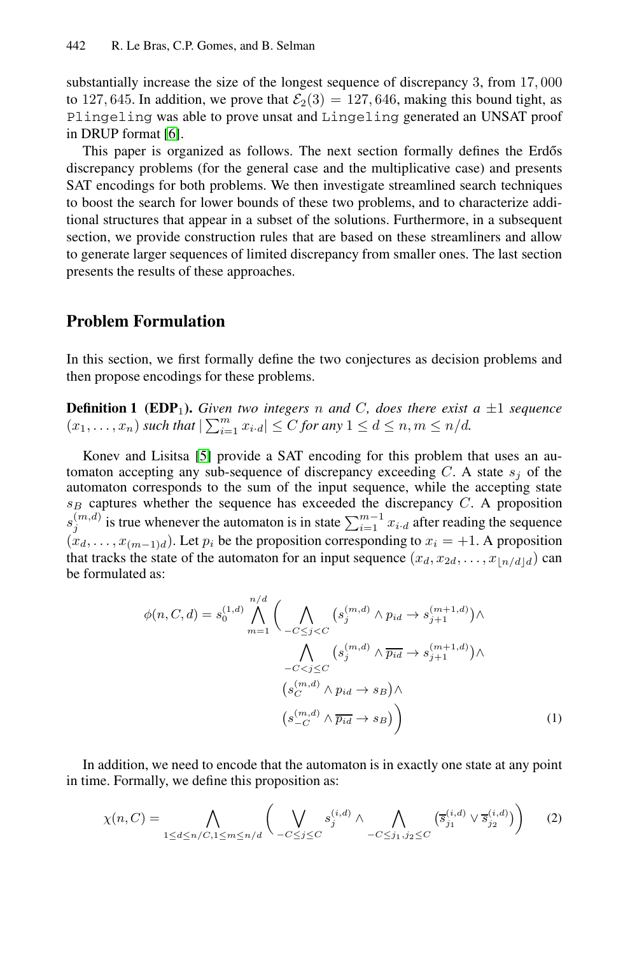substantially increase the size of the longest sequence of discrepancy 3, from 17, 000 to 127, 645. In addition, we prove that  $\mathcal{E}_2(3) = 127, 646$ , making this bound tight, as Plingeling was able to prove unsat and Lingeling generated an UNSAT proof in DRUP format [6].

This paper is organized as follows. The next section formally defines the Erdős discrepancy problems (for the general case and the multiplicative case) and presents SAT encodings for both problems. We then investigate streamlined search techniques to boost the search for lower bounds of these two problems, and to characterize additional structures that appear in a subset of the solutions. Furthermore, in a subsequent section, we provide construction rules that are based on these streamliners and allow to generate larger sequences of limited discrepancy from smaller ones. The last section presents the results of these approaches.

### **Pr[ob](#page-8-5)lem Formulation**

In this section, we first formally define the two conjectures as decision problems and then propose encodings for these problems.

**Definition 1 (EDP<sub>1</sub>).** *Given two integers* n *and* C, *does there exist*  $a \pm 1$  *sequence*  $(x_1,...,x_n)$  *such that*  $\left|\sum_{i=1}^m x_i \cdot d\right| \leq C$  *for any*  $1 \leq d \leq n, m \leq n/d$ *.* 

Konev and Lisitsa [5] provide a SAT encoding for this problem that uses an automaton accepting any sub-sequence of discrepancy exceeding  $C$ . A state  $s_j$  of the automaton corresponds to the sum of the input sequence, while the accepting state s*<sup>B</sup>* captures whether the sequence has exceeded the discrepancy C. A proposition  $s_j^{(m,d)}$  is true whenever the automaton is in state  $\sum_{i=1}^{m-1} x_{i \cdot d}$  after reading the sequence  $(x_d, \ldots, x_{(m-1)d})$ . Let  $p_i$  be the proposition corresponding to  $x_i = +1$ . A proposition that tracks the state of the automaton for an input sequence  $(x_d, x_{2d}, \ldots, x_{\lfloor n/d \rfloor d})$  can be formulated as:

*n/d*

$$
\phi(n, C, d) = s_0^{(1,d)} \bigwedge_{m=1}^{n/d} \Big( \bigwedge_{-C \le j < C} (s_j^{(m,d)} \wedge p_{id} \to s_{j+1}^{(m+1,d)}) \wedge \Big)
$$

$$
\bigwedge_{-C < j \le C} (s_j^{(m,d)} \wedge \overline{p_{id}} \to s_{j+1}^{(m+1,d)}) \wedge \Big)
$$

$$
(s_C^{(m,d)} \wedge p_{id} \to s_B) \wedge \Big( s_{-C}^{(m,d)} \wedge \overline{p_{id}} \to s_B \Big) \Big) \tag{1}
$$

In addition, we need to encode that the automaton is in exactly one state at any point in time. Formally, we define this proposition as:

$$
\chi(n, C) = \bigwedge_{1 \le d \le n/C, 1 \le m \le n/d} \bigg( \bigvee_{-C \le j \le C} s_j^{(i,d)} \wedge \bigwedge_{-C \le j_1, j_2 \le C} \big( \overline{s}_{j_1}^{(i,d)} \vee \overline{s}_{j_2}^{(i,d)} \big) \bigg) \tag{2}
$$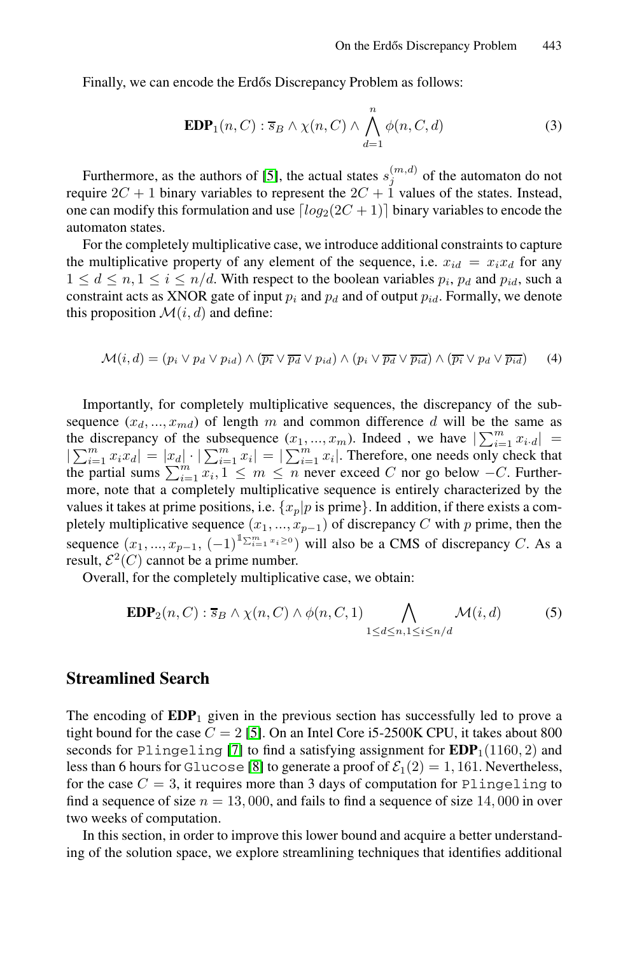Finally, we can encode the Erdős Discrepancy Problem as follows:

$$
\mathbf{EDP}_1(n, C) : \overline{s}_B \wedge \chi(n, C) \wedge \bigwedge_{d=1}^n \phi(n, C, d)
$$
 (3)

Furthermore, as the authors of [5], the actual states  $s_j^{(m,d)}$  of the automaton do not require  $2C + 1$  binary variables to represent the  $2C + 1$  values of the states. Instead, one can modify this formulation and use  $\lceil log_2(2C + 1) \rceil$  binary variables to encode the automaton states.

For the completely multiplicative case, we introduce additional constraints to capture the multiplicative property of any element of the sequence, i.e.  $x_{id} = x_i x_d$  for any  $1 \leq d \leq n, 1 \leq i \leq n/d$ . With respect to the boolean variables  $p_i$ ,  $p_d$  and  $p_{id}$ , such a constraint acts as XNOR gate of input  $p_i$  and  $p_d$  and of output  $p_{id}$ . Formally, we denote this proposition  $\mathcal{M}(i, d)$  and define:

$$
\mathcal{M}(i,d) = (p_i \lor p_d \lor p_{id}) \land (\overline{p_i} \lor \overline{p_d} \lor p_{id}) \land (p_i \lor \overline{p_d} \lor \overline{p_{id}}) \land (\overline{p_i} \lor p_d \lor \overline{p_{id}})
$$
(4)

Importantly, for completely multiplicative sequences, the discrepancy of the subsequence  $(x_d, ..., x_{md})$  of length m and common difference d will be the same as the discrepancy of the subsequence  $(x_1, ..., x_m)$ . Indeed, we have  $\left|\sum_{i=1}^m x_i\right| =$  $|\sum_{i=1}^m x_i x_i| = |x_d| \cdot |\sum_{i=1}^m x_i| = |\sum_{i=1}^m x_i|$ . Therefore, one needs only check that the partial sums  $\sum_{i=1}^{m} x_i, 1 \leq m \leq n$  never exceed C nor go below  $-C$ . Furthermore, note that a completely multiplicative sequence is entirely characterized by the values it takes at prime positions, i.e.  $\{x_p|p$  is prime}. In addition, if there exists a completely multiplicative sequence  $(x_1, ..., x_{p-1})$  of discrepancy C with p prime, then the sequence  $(x_1, ..., x_{p-1}, (-1)^{\text{max}} = x_i^{\text{max}})$  will also be a CMS of discrepancy C. As a result,  $\mathcal{E}^2(C)$  cannot be a prime number.

Overall, for the completely multiplicative case, we obtain:

$$
\mathbf{EDP}_2(n, C) : \overline{s}_B \wedge \chi(n, C) \wedge \phi(n, C, 1) \bigwedge_{1 \le d \le n, 1 \le i \le n/d} \mathcal{M}(i, d) \tag{5}
$$

# **Streamlined Search**

The encoding of **EDP**<sup>1</sup> given in the previous section has successfully led to prove a tight bound for the case  $C = 2$  [5]. On an Intel Core i5-2500K CPU, it takes about 800 seconds for Plingeling [7] to find a satisfying assignment for  $EDP<sub>1</sub>(1160, 2)$  and less than 6 hours for Glucose [8] to generate a proof of  $\mathcal{E}_1(2) = 1, 161$ . Nevertheless, for the case  $C = 3$ , it requires more than 3 days of computation for Plingeling to find a sequence of size  $n = 13,000$ , and fails to find a sequence of size 14,000 in over two weeks of computation.

In this section, in order to improve this lower bound and acquire a better understanding of the solution space, we explore streamlining techniques that identifies additional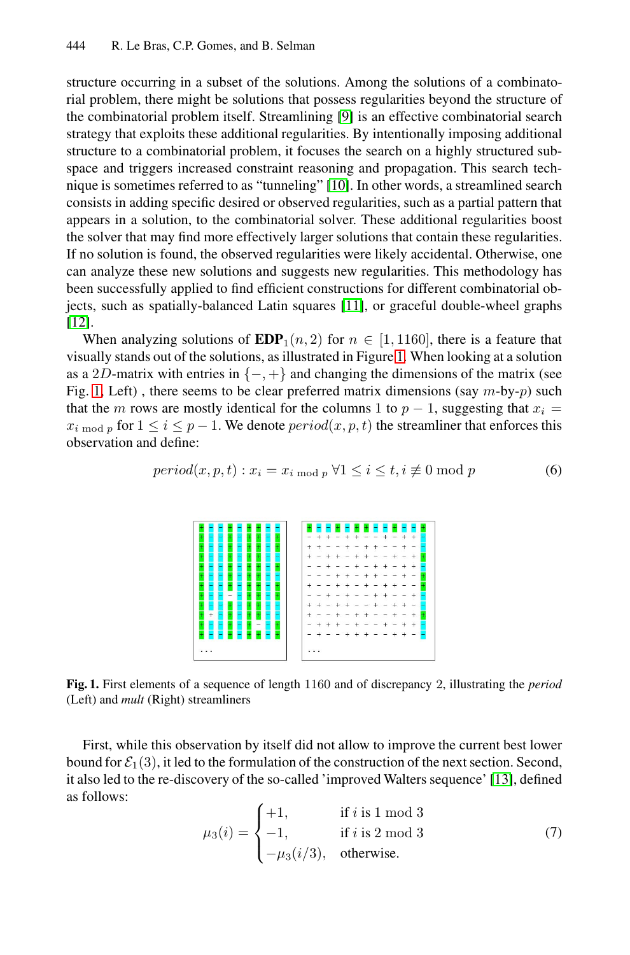structure occurring in a subset of the solutions. Among the solutions of a combinatorial problem, there might be solutions that possess regularities beyond the structure of the combinatorial problem itself. Streamlining [9] is an effective combinatorial search strategy that exploits these additional regularities. By intentionally imposing additional structure to a combinatorial problem, it focuses the search on a highly structured subspace and triggers increased [co](#page-8-8)nstraint reasoning and propagation. This search technique is sometimes referred to as "tunneling" [10]. In other words, a streamlined search consists in adding specific desired or observed regularities, such as a partial pattern that appears in a solution, to the combin[ato](#page-4-0)rial solver. These additional regularities boost the solver that may find more effectively larger solutions that contain these regularities. If no solution is found, the observed regularities were likely accidental. Otherwise, one can analyze these new solutions and suggests new regularities. This methodology has been successfully applied to find efficient constructions for different combinatorial objects, such as spatially-balanced Latin squares [11], or graceful double-wheel graphs [12].

<span id="page-4-0"></span>When analyzing solutions of  $EDP_1(n, 2)$  for  $n \in [1, 1160]$ , there is a feature that visually stands out of the solutions, as illustrated in Figure 1. When looking at a solution as a 2D-matrix with entries in  $\{-, +\}$  and changing the dimensions of the matrix (see Fig. 1, Left), there seems to be clear preferred matrix dimensions (say  $m$ -by- $p$ ) such that the m rows are mostly identical for the columns 1 to  $p - 1$ , suggesting that  $x_i =$  $x_i$ <sub>mod p</sub> for  $1 \le i \le p-1$ . We denote  $period(x, p, t)$  the streamliner that enforces this observation and define:

$$
period(x, p, t) : x_i = x_{i \bmod p} \,\forall 1 \le i \le t, i \not\equiv 0 \bmod p \tag{6}
$$



**Fig. 1.** First elements of a sequence of length 1160 and of discrepancy 2, illustrating the *period* (Left) and *mult* (Right) streamliners

First, while this observation by itself did not allow to improve the current best lower bound for  $\mathcal{E}_1(3)$ , it led to the formulation of the construction of the next section. Second, it also led to the re-discovery of the so-called 'improved Walters sequence' [13], defined as follows:

$$
\mu_3(i) = \begin{cases}\n+1, & \text{if } i \text{ is } 1 \text{ mod } 3 \\
-1, & \text{if } i \text{ is } 2 \text{ mod } 3 \\
-\mu_3(i/3), & \text{otherwise.} \n\end{cases}
$$
\n(7)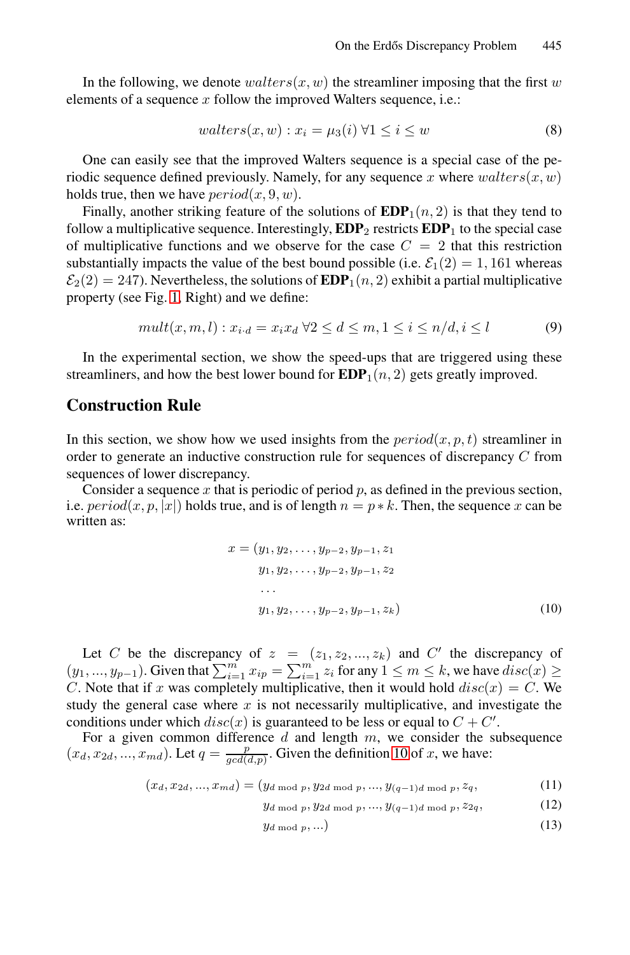In the following, we denote  $walters(x, w)$  the streamliner imposing that the first w elements of a sequence  $x$  follow the improved Walters sequence, i.e.:

$$
walters(x, w) : x_i = \mu_3(i) \,\forall 1 \le i \le w \tag{8}
$$

One can easily see that the improved Walters sequence is a special case of the pe[r](#page-4-0)iodic sequence defined previously. Namely, for any sequence x where  $walters(x, w)$ holds true, then we have  $period(x, 9, w)$ .

Finally, another striking feature of the solutions of  $EDP<sub>1</sub>(n, 2)$  is that they tend to follow a multiplicative sequence. Interestingly,  $EDP_2$  restricts  $EDP_1$  to the special case of multiplicative functions and we observe for the case  $C = 2$  that this restriction substantially impacts the value of the best bound possible (i.e.  $\mathcal{E}_1(2) = 1,161$  whereas  $\mathcal{E}_2(2) = 247$ ). Nevertheless, the solutions of  $\mathbf{EDP}_1(n, 2)$  exhibit a partial multiplicative property (see Fig. 1, Right) and we define:

$$
mult(x, m, l) : x_{i \cdot d} = x_i x_d \ \forall 2 \le d \le m, 1 \le i \le n/d, i \le l \tag{9}
$$

In the experimental section, we show the speed-ups that are triggered using these streamliners, and how the best lower bound for  $EDP<sub>1</sub>(n, 2)$  gets greatly improved.

### **Construction Rule**

In this section, we show how we used insights from the  $period(x, p, t)$  streamliner in order to generate an inductive construction rule for sequences of discrepancy C from sequences of lower discrepancy.

Consider a sequence x that is periodic of period p, as defined in the previous section, i.e.  $period(x, p, x|x)$  holds true, and is of length  $n = p * k$ . Then, the sequence x can be written as:

$$
x = (y_1, y_2, \dots, y_{p-2}, y_{p-1}, z_1 \ny_1, y_2, \dots, y_{p-2}, y_{p-1}, z_2 \n\vdots \ny_1, y_2, \dots, y_{p-2}, y_{p-1}, z_k
$$
\n(10)

Let C be the discrepancy of  $z = (z_1, z_2, ..., z_k)$  and C' the discrepancy of  $(y_1, ..., y_{p-1})$ . Given that  $\sum_{i=1}^m x_{ip} = \sum_{i=1}^m z_i$  for any  $1 \le m \le k$ , we have  $disc(x) \ge k$ C. Note that if x was completely multiplicative, then it would hold  $disc(x) = C$ . We study the general case where  $x$  is not necessarily multiplicative, and investigate the conditions under which  $disc(x)$  is guaranteed to be less or equal to  $C + C'$ .

For a given common difference  $d$  and length  $m$ , we consider the subsequence  $(x_d, x_{2d}, ..., x_{md})$ . Let  $q = \frac{p}{gcd(d,p)}$ . Given the definition 10 of x, we have:

$$
(x_d, x_{2d}, ..., x_{md}) = (y_{d \bmod p}, y_{2d \bmod p}, ..., y_{(q-1)d \bmod p}, z_q, \tag{11}
$$

- $y_d \mod p, y_2d \mod p, ..., y_{(q-1)d} \mod p, z_{2q},$  (12)
	- $y_d \mod p, \ldots$  (13)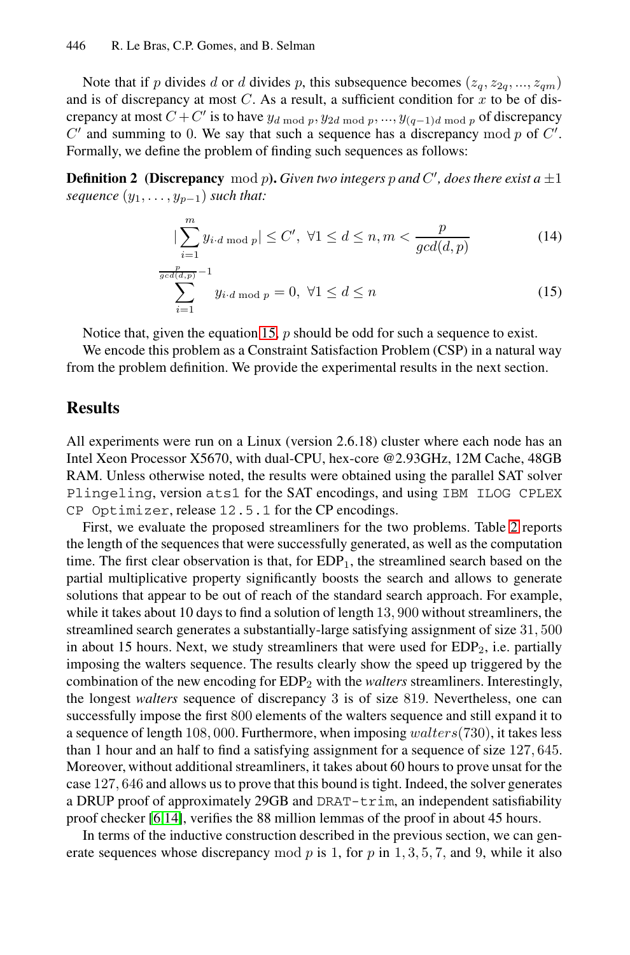Note that if p divides d or d divides p, this subsequence becomes  $(z_q, z_{2q}, ..., z_{qm})$ and is of discrepancy at most  $C$ . As a result, a sufficient condition for  $x$  to be of discrepancy at most  $C + C'$  is to have  $y_d \mod p$ ,  $y_{2d \mod p}$ , ...,  $y_{(q-1)d \mod p}$  of discrepancy  $C'$  and summing to 0. We say that such a sequence has a discrepancy mod p of  $C'$ . Formally, we define the problem of finding such sequences as follows:

**Definition 2** (Discrepancy mod p). Given two integers p and C', does there exist a  $\pm 1$ *sequence*  $(y_1, \ldots, y_{p-1})$  *such that:* 

<span id="page-6-0"></span>
$$
|\sum_{i=1}^{m} y_{i\cdot d \bmod p}| \le C', \ \forall 1 \le d \le n, m < \frac{p}{\gcd(d, p)}
$$
(14)

$$
\sum_{i=1}^{\frac{p}{gcd(d,p)}} -1
$$
  

$$
\sum_{i=1}^{\frac{p}{gcd(d,p)}} y_i \cdot d \mod p = 0, \ \forall 1 \le d \le n
$$
 (15)

Notice that, given the equation 15, p should be odd for such a sequence to exist.

We encode this problem as a Constraint Satisfaction Problem (CSP) in a natural way from the problem definition. We provide the experimental results in the next section.

# **Results**

All experiments were run on a Linux (version 2.6.18) cluster where each node has an Intel Xeon Processor X5670, with dual-CPU, hex-core @2.93GHz, 12M Cache, 48GB RAM. Unless otherwise noted, the results were obtained using the parallel SAT solver Plingeling, version ats1 for the SAT encodings, and using IBM ILOG CPLEX CP Optimizer, release 12.5.1 for the CP encodings.

First, we evaluate the proposed streamliners for the two problems. Table 2 reports the length of the sequences that were successfully generated, as well as the computation time. The first clear observation is that, for  $EDP_1$ , the streamlined search based on the partial multiplicative property significantly boosts the search and allows to generate solutions that appear to be out of reach of the standard search approach. For example, while it takes about 10 days to find a solution of length 13, 900 without streamliners, the streamlined search generates a substantially-large satisfying assignment of size 31, 500 in about 15 hours. Next, we study streamliners that were used for  $EDP<sub>2</sub>$ , i.e. partially imposing the walters sequence. The results clearly show the speed up triggered by the [c](#page-8-9)ombination of the new encoding for EDP<sup>2</sup> with the *walters* streamliners. Interestingly, the longest *walters* sequence of discrepancy 3 is of size 819. Nevertheless, one can successfully impose the first 800 elements of the walters sequence and still expand it to a sequence of length 108, 000. Furthermore, when imposing  $walters(730)$ , it takes less than 1 hour and an half to find a satisfying assignment for a sequence of size 127, 645. Moreover, without additional streamliners, it takes about 60 hours to prove unsat for the case 127, 646 and allows us to prove that this bound is tight. Indeed, the solver generates a DRUP proof of approximately 29GB and DRAT-trim, an independent satisfiability proof checker [6,14], verifies the 88 million lemmas of the proof in about 45 hours.

In terms of the inductive construction described in the previous section, we can generate sequences whose discrepancy mod p is 1, for p in  $1, 3, 5, 7$ , and 9, while it also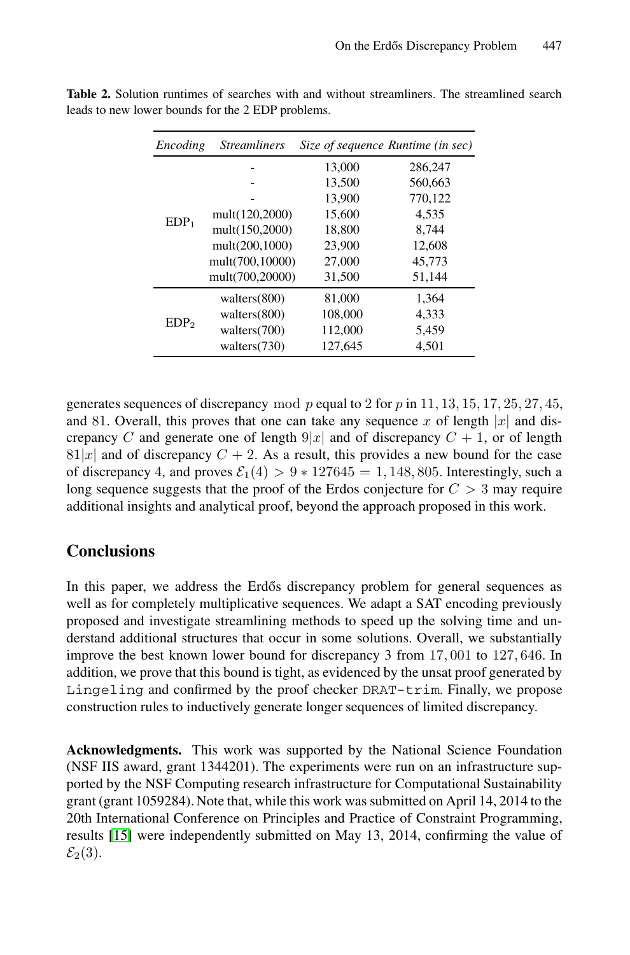| Encoding         | <b>Streamliners</b> |         | Size of sequence Runtime (in sec) |
|------------------|---------------------|---------|-----------------------------------|
| EDP <sub>1</sub> |                     | 13,000  | 286,247                           |
|                  |                     | 13,500  | 560,663                           |
|                  |                     | 13,900  | 770,122                           |
|                  | mult(120,2000)      | 15,600  | 4,535                             |
|                  | mult(150,2000)      | 18,800  | 8,744                             |
|                  | mult(200,1000)      | 23,900  | 12,608                            |
|                  | mult(700,10000)     | 27,000  | 45,773                            |
|                  | mult(700,20000)     | 31,500  | 51,144                            |
| EDP <sub>2</sub> | walters (800)       | 81,000  | 1,364                             |
|                  | walters $(800)$     | 108,000 | 4,333                             |
|                  | walters (700)       | 112,000 | 5,459                             |
|                  | walters (730)       | 127,645 | 4,501                             |

Table 2. Solution runtimes of searches with and without streamliners. The streamlined search leads to new lower bounds for the 2 EDP problems.

generates sequences of discrepancy mod p equal to 2 for p in 11, 13, 15, 17, 25, 27, 45, and 81. Overall, this proves that one can take any sequence x of length |x| and discrepancy C and generate one of length  $9|x|$  and of discrepancy  $C + 1$ , or of length  $81|x|$  and of discrepancy  $C + 2$ . As a result, this provides a new bound for the case of discrepancy 4, and proves  $\mathcal{E}_1(4) > 9 * 127645 = 1,148,805$ . Interestingly, such a long sequence suggests that the proof of the Erdos conjecture for  $C > 3$  may require additional insights and analytical proof, beyond the approach proposed in this work.

# **Conclusions**

In this paper, we address the Erdős discrepancy problem for general sequences as well as for completely multiplicative sequences. We adapt a SAT encoding previously proposed and investigate streamlining methods to speed up the solving time and understand additional structures that occur in some solutions. Overall, we substantially improve the best known lower bound for discrepancy 3 from 17, 001 to 127, 646. In addition, we prove that this bound is tight, as evidenced by the unsat proof generated by Lingeling and confirmed by the proof checker DRAT-trim. Finally, we propose construction rules to inductively generate longer sequences of limited discrepancy.

**Acknowledgments.** This work was supported by the National Science Foundation (NSF IIS award, grant 1344201). The experiments were run on an infrastructure supported by the NSF Computing research infrastructure for Computational Sustainability grant (grant 1059284). Note that, while this work was submitted on April 14, 2014 to the 20th International Conference on Principles and Practice of Constraint Programming, results [15] were independently submitted on May 13, 2014, confirming the value of  $\mathcal{E}_2(3)$ .